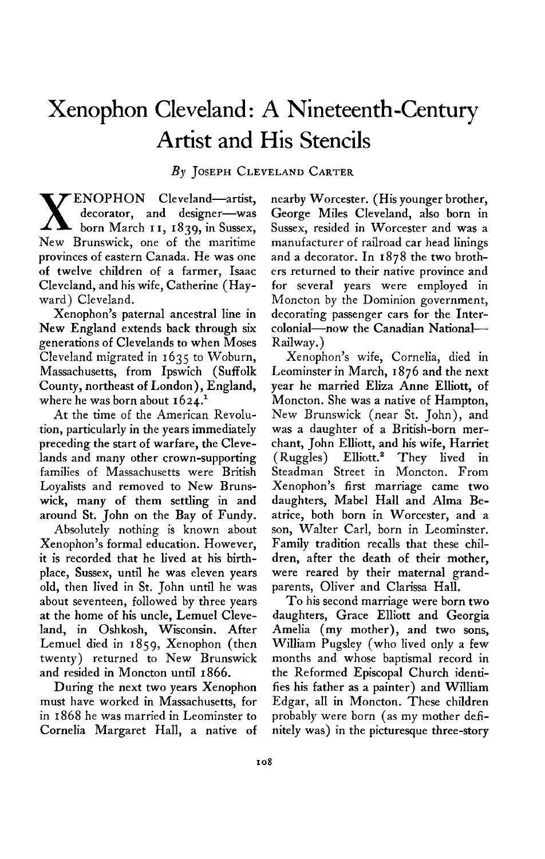## **Xenophon Cleveland : A Nineteenth-Century Artist and His Stencils**

## **By JOSEPH CLEVELAND CARTER**

**X** ENOPHON Cleveland-artist, decorator, and designer-was **born March I I, 1839, in Sussex, New Brunswick, one of the maritime provinces of eastern Canada. He was one of twelve children of a farmer, Isaac Cleveland, and his wife, Catherine (Hayward) Cleveland.** 

**Xenophon's paternal ancestral line in New England extends back through six generations of Clevelands to when Moses Cleveland migrated in 1635 to Woburn, Massachusetts, from Ipswich (Suffolk County, northeast of London), England,**  where he was born about  $1624.<sup>1</sup>$ 

**At the time of the American Revolution, particularly in the years immediately preceding the start of warfare, the Clevelands and many other crown-supporting families of Massachusetts were British Loyalists and removed to New Brunswick, many of them settling in and around St. John on the Bay of Fundy.** 

**Absolutely nothing is known about Xenophon's formal education. However, it is recorded that he lived at his birthplace, Sussex, until he was eleven years old, then lived in St. John until he was about seventeen, followed by three years at the home of his uncle, Lemuel Cleveland, in Oshkosh, Wisconsin. After**  Lemuel died in 1859, Xenophon (then **twenty) returned to New Brunswick and resided in Moncton until 1866.** 

**During the next two years Xenophon must have worked in Massachusetts, for in I 868 he was married in Leominster to Cornelia Margaret Hall, a native of**  **nearby Worcester. (His younger brother, George Miles Cleveland, also born in Sussex, resided in Worcester and was a manufacturer of railroad car head linings and a decorator. In 1878 the two brothers returned to their native province and for several years were employed in Moncton by the Dominion government, decorating passenger cars for the Intercolonial-now the Canadian National-Railway.)** 

**Xenophon's wife, Cornelia, died in Leominster in March, I 876 and the next year he married Eliza Anne Elliott, of Moncton. She was a native of Hampton, New Brunswick (near St. John), and was a daughter of a British-born merchant, John Elliott, and his wife, Harriet (Ruggles) Elliott.2 They lived in Steadman Street in Moncton. From Xenophon's first marriage came two daughters, Mabel Hall and Alma Beatrice, both born in Worcester, and a son, Walter Carl, born in Leominster. Family tradition recalls that these children, after the death of their mother, were reared by their maternal grandparents, Oliver and Clarissa Hall.** 

**To his second marriage were born two daughters, Grace Elliott and Georgia Amelia (my mother), and two sons, William Pugsley (who lived only a few months and whose baptismal record in the Reformed Episcopal Church identifies his father as a painter) and William Edgar, all in Moncton. These children probably were born (as my mother definitely was) in the picturesque three-story**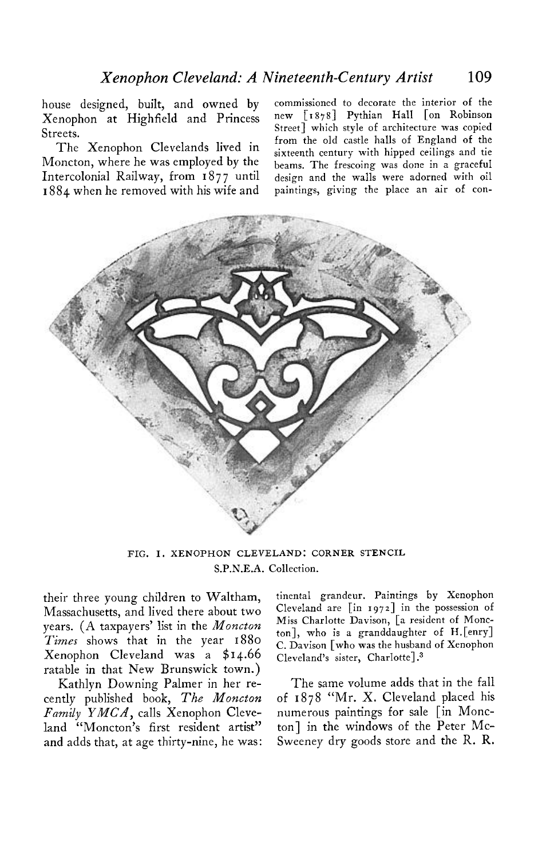**house designed, built, and owned by commissioned to decorate the interior of the Xenophon at Highfield and Princess new [1878] Pythian Hall [on Robinson Streets. Street] which style of architecture was copied** 

**Moncton, where he was employed by the**  Intercolonial Railway, from  $1877$  until **I 884 when he removed with his wife and paintings, giving the place an air of con-**

**The Xenophon Clevelands lived in from the old castle halls of England of the sixteenth century with hipped ceilings and tie b earns. The frescoing was done in a graceful design and the walls were adorned with oil** 



**FIG. I. XENOPHON CLEVELAND: CORNER STENCIL S.P.N.E.A. Collection.** 

**their three young children to Waltham, Massachusetts, and lived there about two years. (A taxpayers' list in the Moncton Times shows that in the year <sup>1880</sup> Xenophon Cleveland was a \$14.66 ratable in that New Brunswick town.)** 

**cently published book, The Moncton of 1878 "Mr. X. Cleveland placed his**  Family YMCA, calls Xenophon Cleve- numerous paintings for sale [in Monc**land "Moncton's first resident artist" ton] in the windows of the Peter Mcand adds that, at age thirty-nine, he was: Sweeney dry goods store and the R. R.** 

**tinental grandeur. Paintings by Xenophon**  Cleveland are [in 1972] in the possession of **Miss Charlotte Davison, [a resident of Moncton], who is a granddaughter of H.[enry] C. Davison [who was the husband of Xenophon Cleveland's sister, Charlotte] .3** 

**Kathlyn Downing Palmer in her re- The same volume adds that in the fall**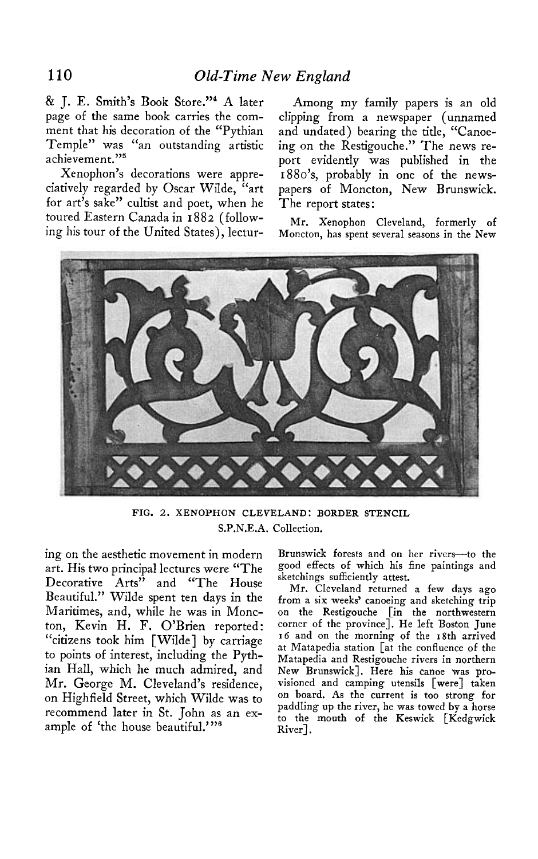**& J. E. Smith's Book Store."4 A later page of the same book carries the comment that his decoration of the "Pythian Temple" was "an outstanding artistic achievement."5** 

**Xenophon's decorations were appreciatively regarded by Oscar Wilde, "art for art's sake" cultist and poet, when he toured Eastern Canada in I 882 (following his tour of the United States), lectur-**

**Among my family papers is an old clipping from a newspaper (unnamed and undated) bearing the title, "Canoeing on the Restigouche." The news report evidently was published in the 1880's, probably in one of the newspapers of Moncton, New Brunswick. The report states:** 

**Mr. Xenophon Cleveland, formerly of Moncton, has spent several seasons in the New** 



**FIG. 2. XENOPHON CLEVELAND: BORDER STENCIL S.P.N.E.A. Collection.** 

**ing on the aesthetic movement in modern art. His two principal lectures were "The Decorative Arts" and "The House Beautiful." Wilde spent ten days in the Maritimes, and, while he was in Moncton, Kevin H. F. O'Brien reported: "citizens took him [Wilde] by carriage to points of interest, including the Pythian Hall, which he much admired, and Mr. George M. Cleveland's residence, on Highfield Street, which Wilde was to recommend later in St. John as an example of 'the house beautiful."'6** 

**Brunswick forests and on her rivers-to the good effects of which his fine paintings and sketchings sufficiently attest.** 

**Mr. Cleveland returned a few days ago from a six weeks' canoeing and sketching trip on the Restigouche [in the northwestern corner of the urovincel. He left Boston Tune 16 and on the morning of the 18th arrived at Matapedia station [at the confluence of the Matapedia and Restigouche rivers in northern**  New Brunswick]. Here his canoe was pro**visioned and camping utensils [were] taken on board. As the current is too strong for paddling up the river, he was towed by a horse to the mouth of the Keswick [Kedgwick River].**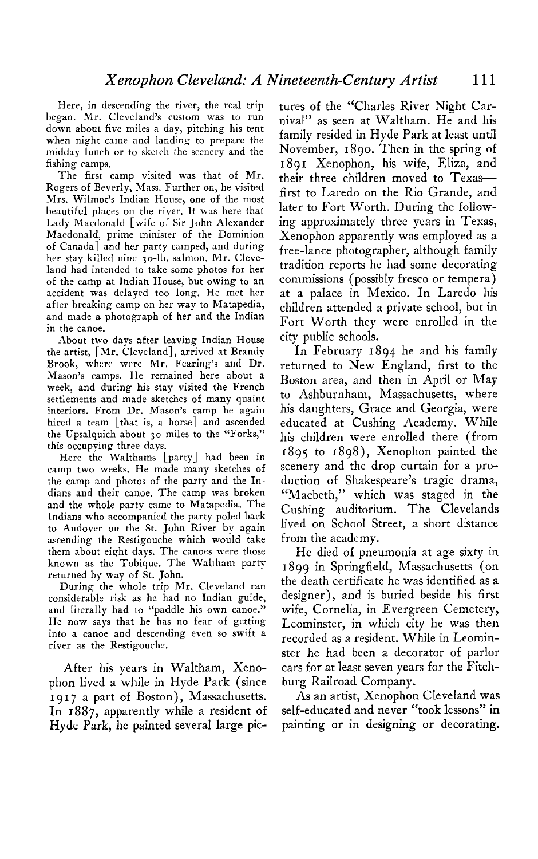**Here, in descending the river, the real trip began. Mr. Cleveland's custom was to run down about five miles a day, pitching his tent**  when night came and landing to prepare the **midday lunch or to sketch the scenery and the fishing camps.** 

**The first camp visited was that of Mr. Rogers of Beverly, Mass. Further on, he visited Mrs. Wilmot's Indian House, one of the most beautiful places on the river. It was here that Lady Macdonald [wife of Sir John Alexander Macdonald, prime minister of the Dominion of Canada] and her party camped, and during**  her stay killed nine 30-lb. salmon. Mr. Cleve**land had intended to take some photos for her of the camp at Indian House, but owing to an accident was delayed too long. He met her after breaking camp on her way to Matapedia, and made a photograph of her and the Indian in the canoe.** 

**About two days after leaving Indian House the artist, [Mr. Cleveland], arrived at Brandy Brook, where were Mr. Fearing's and Dr. Mason's camps. He remained here about a week, and during his stay visited the French settlements and made sketches of many quaint interiors. From Dr. Mason's camp he again hired a team [that is, a horse] and ascended the Upsalquich about 30 miles to the "Forks," this occupying three days.** 

**Here the Walthams [party] had been in camp two weeks. He made many sketches of the camp and photos of the party and the Indians and their canoe. The camp was broken and the whole party came to Matapedia. The Indians who accompanied the party poled back to Andover on the St. John River by again ascending the Restigouche which would take them about eight days. The canoes were those known as the Tobique. The Waltham party \_ . returned by way of St. John.** 

During the whole trip Mr. Cleveland ran **considerable risk as he had no Indian guide, and literally had to "paddle his own canoe." He now says that he has no fear of getting into a canoe and descending even so swift a river as the Restigouche.** 

**After his years in Waltham, Xenophon lived a while in Hyde Park (since 1917 a part of Boston), Massachusetts. In 1887, apparently while a resident of Hyde Park, he painted several large pic-**

**tures of the "Charles River Night Carnival" as seen at Waltham. He and his family resided in Hyde Park at least until November, 1890. Then in the spring of I 891 Xenophon, his wife, Eliza, and their three children moved to Texasfirst to Laredo on the Rio Grande, and later to Fort Worth. During the following approximately three years in Texas, Xenophon apparently was employed as a free-lance photographer, although family tradition reports he had some decorating commissions (possibly fresco or tempera) at a palace in Mexico. In Laredo his children attended a private school, but in Fort Worth they were enrolled in the city public schools.** 

**In February 1894 he and his family returned to New England, first to the Boston area, and then in April or May to Ashburnham, Massachusetts, where his daughters, Grace and Georgia, were educated at Cushing Academy. While his children were enrolled there (from 1895 to 1898), Xenophon painted the scenery and the drop curtain for a production of Shakespeare's tragic drama, "Macbeth," which was staged in the Cushing auditorium. The Clevelands lived on School Street, a short distance from the academy.** 

**He died of pneumonia at age sixty in 1899 in Springfield, Massachusetts (on the death certificate he was identified as a designer), and is buried beside his first wife, Cornelia, in Evergreen Cemetery, Leominster, in which city he was then recorded as a resident. While in Leominster he had been a decorator of parlor cars for at least seven years for the Fitchburg Railroad Company.** 

**As an artist, Xenophon Cleveland was self-educated and never "took lessons" in painting or in designing or decorating.**